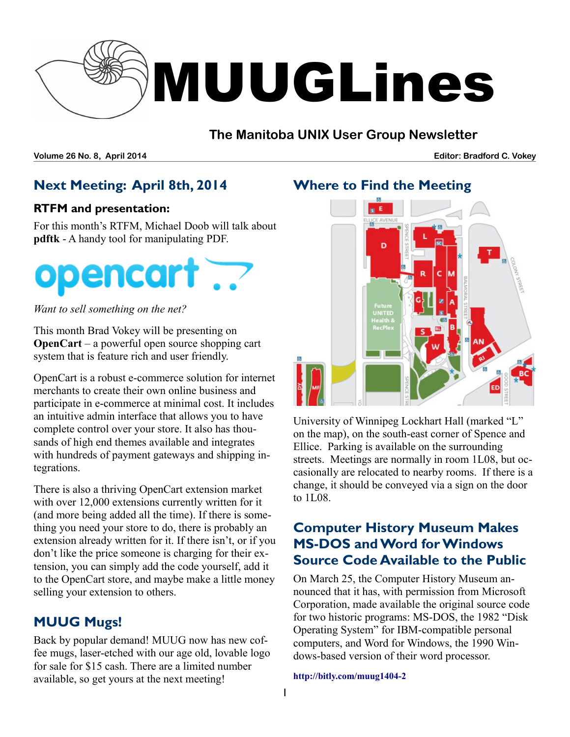

### **The Manitoba UNIX User Group Newsletter**

**Volume 26 No. 8, April 2014 Editor: Bradford C. Vokey**

## **Next Meeting: April 8th, 2014**

#### **RTFM and presentation:**

For this month's RTFM, Michael Doob will talk about **pdftk** - A handy tool for manipulating PDF.



*Want to sell something on the net?*

This month Brad Vokey will be presenting on **OpenCart** – a powerful open source shopping cart system that is feature rich and user friendly.

OpenCart is a robust e-commerce solution for internet merchants to create their own online business and participate in e-commerce at minimal cost. It includes an intuitive admin interface that allows you to have complete control over your store. It also has thousands of high end themes available and integrates with hundreds of payment gateways and shipping integrations.

There is also a thriving OpenCart extension market with over 12,000 extensions currently written for it (and more being added all the time). If there is something you need your store to do, there is probably an extension already written for it. If there isn't, or if you don't like the price someone is charging for their extension, you can simply add the code yourself, add it to the OpenCart store, and maybe make a little money selling your extension to others.

# **MUUG Mugs!**

Back by popular demand! MUUG now has new coffee mugs, laser-etched with our age old, lovable logo for sale for \$15 cash. There are a limited number available, so get yours at the next meeting!

### **Where to Find the Meeting**



University of Winnipeg Lockhart Hall (marked "L" on the map), on the south-east corner of Spence and Ellice. Parking is available on the surrounding streets. Meetings are normally in room 1L08, but occasionally are relocated to nearby rooms. If there is a change, it should be conveyed via a sign on the door to 1L08.

## **Computer History Museum Makes MS-DOS and Word for Windows Source Code Available to the Public**

On March 25, the Computer History Museum announced that it has, with permission from Microsoft Corporation, made available the original source code for two historic programs: MS-DOS, the 1982 "Disk Operating System" for IBM-compatible personal computers, and Word for Windows, the 1990 Windows-based version of their word processor.

**[http://bitly.com/muug1404-2](http://bitly.com/muug1404-1)**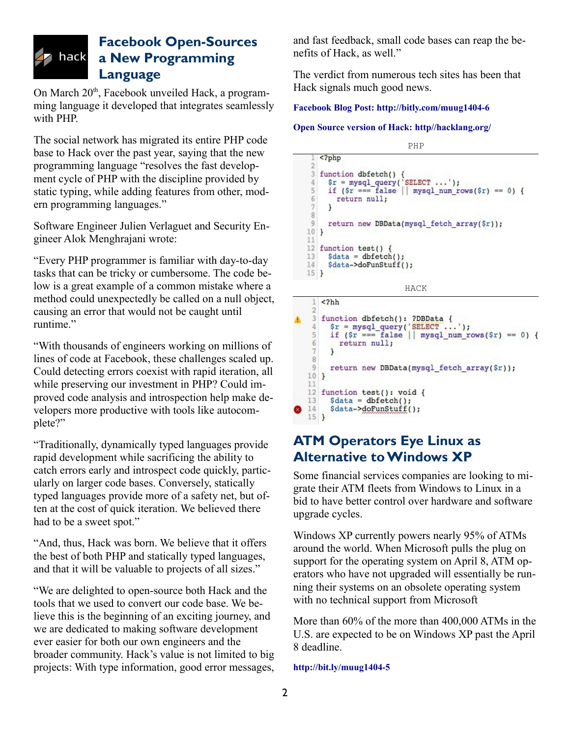#### **Facebook Open-Sources a New Programming Language**

On March  $20<sup>th</sup>$ , Facebook unveiled Hack, a programming language it developed that integrates seamlessly with PHP.

The social network has migrated its entire PHP code base to Hack over the past year, saying that the new programming language "resolves the fast development cycle of PHP with the discipline provided by static typing, while adding features from other, modern programming languages."

Software Engineer Julien Verlaguet and Security Engineer Alok Menghrajani wrote:

"Every PHP programmer is familiar with day-to-day tasks that can be tricky or cumbersome. The code below is a great example of a common mistake where a method could unexpectedly be called on a null object, causing an error that would not be caught until runtime."

"With thousands of engineers working on millions of lines of code at Facebook, these challenges scaled up. Could detecting errors coexist with rapid iteration, all while preserving our investment in PHP? Could improved code analysis and introspection help make developers more productive with tools like autocomplete?"

"Traditionally, dynamically typed languages provide rapid development while sacrificing the ability to catch errors early and introspect code quickly, particularly on larger code bases. Conversely, statically typed languages provide more of a safety net, but often at the cost of quick iteration. We believed there had to be a sweet spot."

"And, thus, Hack was born. We believe that it offers the best of both PHP and statically typed languages, and that it will be valuable to projects of all sizes."

"We are delighted to open-source both Hack and the tools that we used to convert our code base. We believe this is the beginning of an exciting journey, and we are dedicated to making software development ever easier for both our own engineers and the broader community. Hack's value is not limited to big projects: With type information, good error messages, and fast feedback, small code bases can reap the benefits of Hack, as well."

The verdict from numerous tech sites has been that Hack signals much good news.

#### **Facebook Blog Post:<http://bitly.com/muug1404-6>**

#### **Open Source version of Hack: [http//hacklang.org/](http://http//hacklang.org/)**

PHP  $<$ ?php function dbfetch() {  $\overline{3}$  $\frac{1}{2}$  = mysql\_query('SELECT ...');  $\Delta$ 5 if  $(\frac{5r}{2}) = \frac{6}{7}$  false || mysql\_num\_rows(\$r) == 0) {  $6\phantom{a}$ return null;  $\overline{7}$  $\mathbf{r}$ 8  $\overline{9}$ return new DBData(mysql\_fetch\_array(\$r));  $10$ } 11 12 function test() { 13  $$data = dbfetch();$ 14 \$data->doFunStuff();  $15$ } HACK

 $<$ ?hh  $\mathfrak{D}$ A  $3<sup>1</sup>$ function dbfetch(): ?DBData {  $$r = mysq1_query('SELECT ...');$ <br>  $if ($r == false || mysq1_num_rows($r) == 0)$  {  $\Delta$ 5  $6\phantom{.}6$ return null;  $\overline{7}$  $\mathcal{F}$  $\overline{8}$ 9 return new DBData(mysql\_fetch\_array(\$r));  $10$ } 11 12 function test(): void { 13  $$data = dbfetch();$ \$data->doFunStuff(); ❸ 14  $15$ }

### **ATM Operators Eye Linux as Alternative to Windows XP**

Some financial services companies are looking to migrate their ATM fleets from Windows to Linux in a bid to have better control over hardware and software upgrade cycles.

Windows XP currently powers nearly 95% of ATMs around the world. When Microsoft pulls the plug on support for the operating system on April 8, ATM operators who have not upgraded will essentially be running their systems on an obsolete operating system with no technical support from Microsoft

More than 60% of the more than 400,000 ATMs in the U.S. are expected to be on Windows XP past the April 8 deadline.

**<http://bit.ly/muug1404-5>**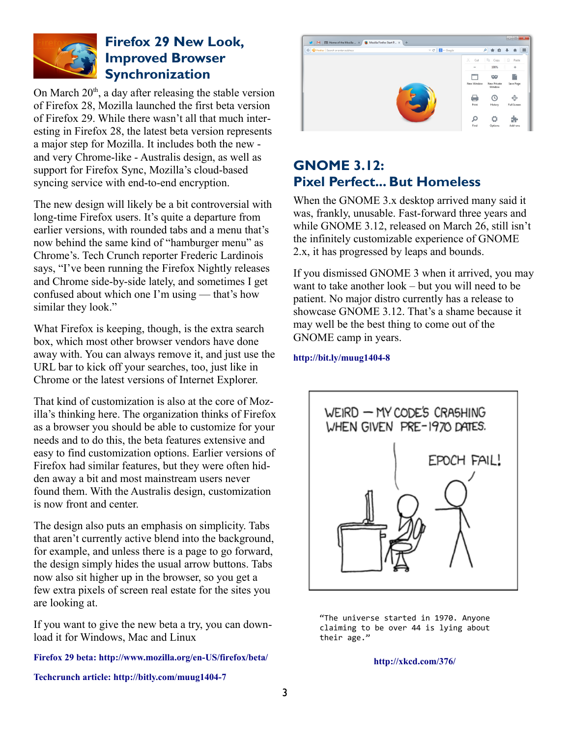

#### **Firefox 29 New Look, Improved Browser Synchronization**

On March  $20<sup>th</sup>$ , a day after releasing the stable version of Firefox 28, Mozilla launched the first beta version of Firefox 29. While there wasn't all that much interesting in Firefox 28, the latest beta version represents a major step for Mozilla. It includes both the new and very Chrome-like - Australis design, as well as support for Firefox Sync, Mozilla's cloud-based syncing service with end-to-end encryption.

The new design will likely be a bit controversial with long-time Firefox users. It's quite a departure from earlier versions, with rounded tabs and a menu that's now behind the same kind of "hamburger menu" as Chrome's. Tech Crunch reporter Frederic Lardinois says, "I've been running the Firefox Nightly releases and Chrome side-by-side lately, and sometimes I get confused about which one I'm using — that's how similar they look."

What Firefox is keeping, though, is the extra search box, which most other browser vendors have done away with. You can always remove it, and just use the URL bar to kick off your searches, too, just like in Chrome or the latest versions of Internet Explorer.

That kind of customization is also at the core of Mozilla's thinking here. The organization thinks of Firefox as a browser you should be able to customize for your needs and to do this, the beta features extensive and easy to find customization options. Earlier versions of Firefox had similar features, but they were often hidden away a bit and most mainstream users never found them. With the Australis design, customization is now front and center.

The design also puts an emphasis on simplicity. Tabs that aren't currently active blend into the background, for example, and unless there is a page to go forward, the design simply hides the usual arrow buttons. Tabs now also sit higher up in the browser, so you get a few extra pixels of screen real estate for the sites you are looking at.

If you want to give the new beta a try, you can download it for Windows, Mac and Linux

**Firefox 29 beta:<http://www.mozilla.org/en-US/firefox/beta/>**



# **GNOME 3.12: Pixel Perfect... But Homeless**

When the GNOME 3.x desktop arrived many said it was, frankly, unusable. Fast-forward three years and while GNOME 3.12, released on March 26, still isn't the infinitely customizable experience of GNOME 2.x, it has progressed by leaps and bounds.

If you dismissed GNOME 3 when it arrived, you may want to take another look – but you will need to be patient. No major distro currently has a release to showcase GNOME 3.12. That's a shame because it may well be the best thing to come out of the GNOME camp in years.

#### **<http://bit.ly/muug1404-8>**



"The universe started in 1970. Anyone claiming to be over 44 is lying about their age."

**<http://xkcd.com/376/>**

**Techcrunch article:<http://bitly.com/muug1404-7>**